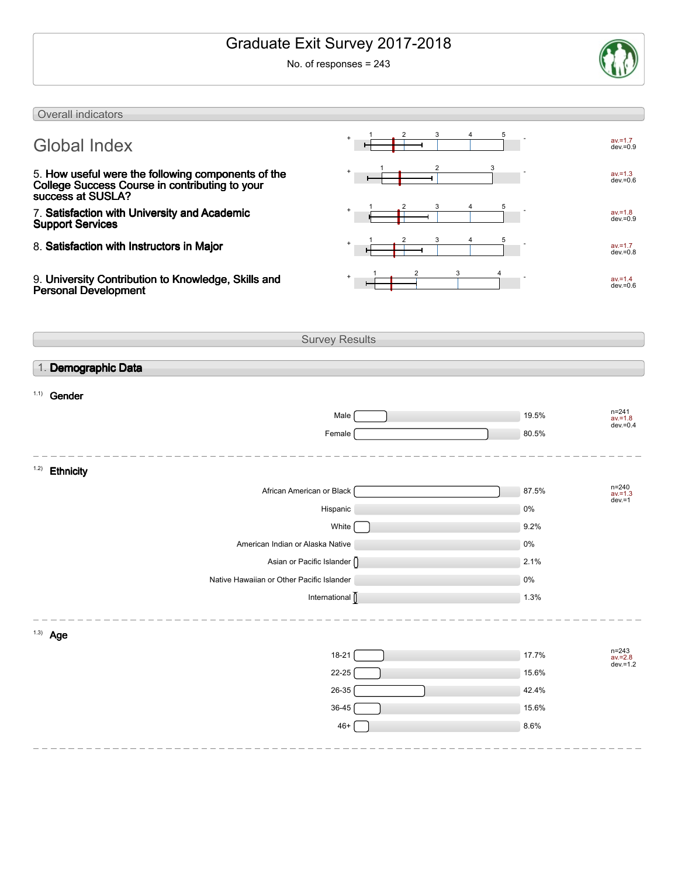# Graduate Exit Survey 2017-2018

No. of responses = 243



| Overall indicators                                                                                                        |                       |            |                                      |
|---------------------------------------------------------------------------------------------------------------------------|-----------------------|------------|--------------------------------------|
| <b>Global Index</b>                                                                                                       |                       |            | $av = 1.7$<br>$dev = 0.9$            |
| 5. How useful were the following components of the<br>College Success Course in contributing to your<br>success at SUSLA? | 2<br>3                |            | $av = 1.3$<br>$dev = 0.6$            |
| 7. Satisfaction with University and Academic<br><b>Support Services</b>                                                   |                       |            | $av = 1.8$<br>$dev = 0.9$            |
| 8. Satisfaction with Instructors in Major                                                                                 |                       |            | $av = 1.7$<br>$dev = 0.8$            |
| 9. University Contribution to Knowledge, Skills and<br><b>Personal Development</b>                                        |                       |            | $av = 1.4$<br>$dev = 0.6$            |
|                                                                                                                           | <b>Survey Results</b> |            |                                      |
| 1. Demographic Data                                                                                                       |                       |            |                                      |
| 1.1)<br>Gender                                                                                                            |                       |            |                                      |
|                                                                                                                           | Male                  | 19.5%      | $n = 241$                            |
|                                                                                                                           | Female                | 80.5%      | $av = 1.8$<br>$dev = 0.4$            |
|                                                                                                                           |                       |            |                                      |
| 1.2)<br><b>Ethnicity</b>                                                                                                  |                       |            |                                      |
| African American or Black                                                                                                 |                       | 87.5%      | $n = 240$<br>$av = 1.3$<br>$dev = 1$ |
|                                                                                                                           | Hispanic              | 0%         |                                      |
|                                                                                                                           | White                 | 9.2%       |                                      |
| American Indian or Alaska Native                                                                                          |                       | 0%         |                                      |
| Asian or Pacific Islander []<br>Native Hawaiian or Other Pacific Islander                                                 |                       | 2.1%<br>0% |                                      |
|                                                                                                                           | International         | 1.3%       |                                      |
|                                                                                                                           |                       |            |                                      |
| $1.3)$ Age                                                                                                                |                       |            |                                      |
|                                                                                                                           | 18-21                 | 17.7%      | n=243<br>av.=2.8<br>dev.=1.2         |
|                                                                                                                           | $22 - 25$             | 15.6%      |                                      |
|                                                                                                                           | $26 - 35$             | 42.4%      |                                      |
|                                                                                                                           | 36-45                 | 15.6%      |                                      |
|                                                                                                                           | $46+$                 | 8.6%       |                                      |
|                                                                                                                           |                       |            |                                      |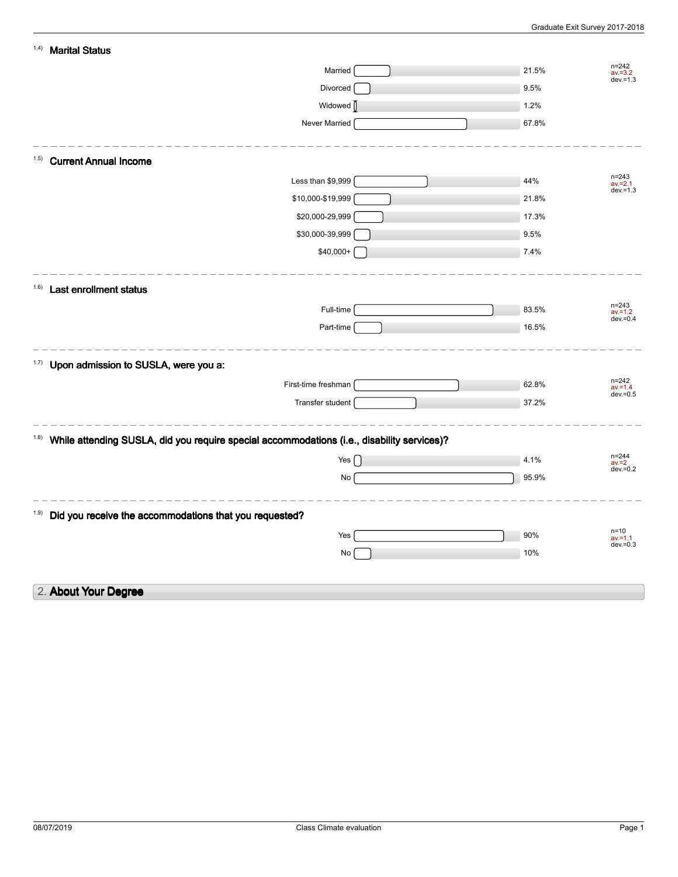| n=242<br>av.=3.2<br>Married<br>21.5%<br>$dev = 1.3$<br>Divorced<br>9.5%<br>Widowed  <br>1.2%<br>Never Married<br>67.8%<br><b>Current Annual Income</b><br>(1.5)<br>$n = 243$<br>Less than \$9,999<br>44%<br>$av = 2.1$<br>$dev = 1.3$<br>\$10,000-\$19,999<br>21.8%<br>\$20,000-29,999<br>17.3%<br>\$30,000-39,999<br>9.5%<br>\$40,000+<br>7.4%<br>1.6)<br>Last enrollment status<br>$n = 243$<br>Full-time<br>83.5%<br>$av = 1.2$<br>$dev = 0.4$<br>Part-time<br>16.5%<br>1.7)<br>Upon admission to SUSLA, were you a:<br>$n = 242$<br>First-time freshman<br>62.8%<br>$av = 1.4$<br>$dev = 0.5$<br>Transfer student<br>37.2%<br>While attending SUSLA, did you require special accommodations (i.e., disability services)?<br>(1.8)<br>$n = 244$<br>Yes $\lceil$<br>4.1%<br>$av = 2$<br>$dev = 0.2$<br>95.9%<br>No |
|----------------------------------------------------------------------------------------------------------------------------------------------------------------------------------------------------------------------------------------------------------------------------------------------------------------------------------------------------------------------------------------------------------------------------------------------------------------------------------------------------------------------------------------------------------------------------------------------------------------------------------------------------------------------------------------------------------------------------------------------------------------------------------------------------------------------|
|                                                                                                                                                                                                                                                                                                                                                                                                                                                                                                                                                                                                                                                                                                                                                                                                                      |
|                                                                                                                                                                                                                                                                                                                                                                                                                                                                                                                                                                                                                                                                                                                                                                                                                      |
|                                                                                                                                                                                                                                                                                                                                                                                                                                                                                                                                                                                                                                                                                                                                                                                                                      |
|                                                                                                                                                                                                                                                                                                                                                                                                                                                                                                                                                                                                                                                                                                                                                                                                                      |
|                                                                                                                                                                                                                                                                                                                                                                                                                                                                                                                                                                                                                                                                                                                                                                                                                      |
|                                                                                                                                                                                                                                                                                                                                                                                                                                                                                                                                                                                                                                                                                                                                                                                                                      |
|                                                                                                                                                                                                                                                                                                                                                                                                                                                                                                                                                                                                                                                                                                                                                                                                                      |
|                                                                                                                                                                                                                                                                                                                                                                                                                                                                                                                                                                                                                                                                                                                                                                                                                      |
|                                                                                                                                                                                                                                                                                                                                                                                                                                                                                                                                                                                                                                                                                                                                                                                                                      |
|                                                                                                                                                                                                                                                                                                                                                                                                                                                                                                                                                                                                                                                                                                                                                                                                                      |
|                                                                                                                                                                                                                                                                                                                                                                                                                                                                                                                                                                                                                                                                                                                                                                                                                      |
|                                                                                                                                                                                                                                                                                                                                                                                                                                                                                                                                                                                                                                                                                                                                                                                                                      |
|                                                                                                                                                                                                                                                                                                                                                                                                                                                                                                                                                                                                                                                                                                                                                                                                                      |
|                                                                                                                                                                                                                                                                                                                                                                                                                                                                                                                                                                                                                                                                                                                                                                                                                      |
|                                                                                                                                                                                                                                                                                                                                                                                                                                                                                                                                                                                                                                                                                                                                                                                                                      |
|                                                                                                                                                                                                                                                                                                                                                                                                                                                                                                                                                                                                                                                                                                                                                                                                                      |
|                                                                                                                                                                                                                                                                                                                                                                                                                                                                                                                                                                                                                                                                                                                                                                                                                      |
|                                                                                                                                                                                                                                                                                                                                                                                                                                                                                                                                                                                                                                                                                                                                                                                                                      |
|                                                                                                                                                                                                                                                                                                                                                                                                                                                                                                                                                                                                                                                                                                                                                                                                                      |
|                                                                                                                                                                                                                                                                                                                                                                                                                                                                                                                                                                                                                                                                                                                                                                                                                      |
|                                                                                                                                                                                                                                                                                                                                                                                                                                                                                                                                                                                                                                                                                                                                                                                                                      |
|                                                                                                                                                                                                                                                                                                                                                                                                                                                                                                                                                                                                                                                                                                                                                                                                                      |
| Did you receive the accommodations that you requested?<br>1.9)                                                                                                                                                                                                                                                                                                                                                                                                                                                                                                                                                                                                                                                                                                                                                       |
| $n=10$                                                                                                                                                                                                                                                                                                                                                                                                                                                                                                                                                                                                                                                                                                                                                                                                               |
| Yes<br>90%<br>$av = 1.1$<br>$dev = 0.3$                                                                                                                                                                                                                                                                                                                                                                                                                                                                                                                                                                                                                                                                                                                                                                              |
| 10%<br>No                                                                                                                                                                                                                                                                                                                                                                                                                                                                                                                                                                                                                                                                                                                                                                                                            |
| 2. About Your Degree                                                                                                                                                                                                                                                                                                                                                                                                                                                                                                                                                                                                                                                                                                                                                                                                 |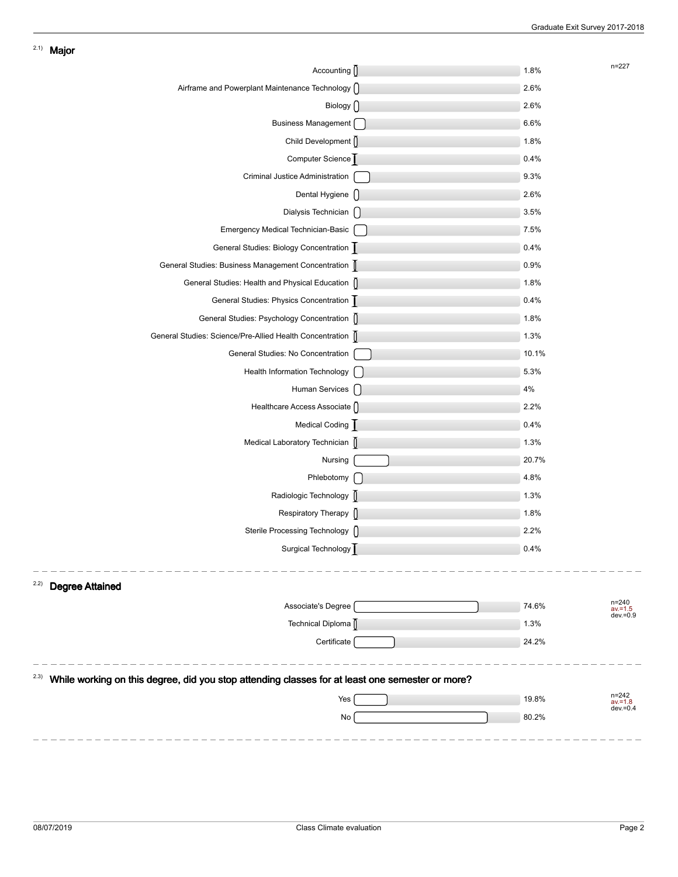| Accounting ()                                                                                            | 1.8%  | $n = 227$                          |
|----------------------------------------------------------------------------------------------------------|-------|------------------------------------|
| Airframe and Powerplant Maintenance Technology []                                                        | 2.6%  |                                    |
| Biology $\bigcap$                                                                                        | 2.6%  |                                    |
| Business Management [                                                                                    | 6.6%  |                                    |
| Child Development                                                                                        | 1.8%  |                                    |
| Computer Science                                                                                         | 0.4%  |                                    |
| Criminal Justice Administration                                                                          | 9.3%  |                                    |
| Dental Hygiene []                                                                                        | 2.6%  |                                    |
| Dialysis Technician n                                                                                    | 3.5%  |                                    |
| Emergency Medical Technician-Basic                                                                       | 7.5%  |                                    |
| General Studies: Biology Concentration                                                                   | 0.4%  |                                    |
| General Studies: Business Management Concentration                                                       | 0.9%  |                                    |
| General Studies: Health and Physical Education []                                                        | 1.8%  |                                    |
| General Studies: Physics Concentration                                                                   | 0.4%  |                                    |
| General Studies: Psychology Concentration []                                                             | 1.8%  |                                    |
| General Studies: Science/Pre-Allied Health Concentration [                                               | 1.3%  |                                    |
| General Studies: No Concentration                                                                        | 10.1% |                                    |
| Health Information Technology [                                                                          | 5.3%  |                                    |
| Human Services [ ]                                                                                       | 4%    |                                    |
| Healthcare Access Associate ()                                                                           | 2.2%  |                                    |
| Medical Coding                                                                                           | 0.4%  |                                    |
| Medical Laboratory Technician []                                                                         | 1.3%  |                                    |
| Nursing                                                                                                  | 20.7% |                                    |
| Phlebotomy [                                                                                             | 4.8%  |                                    |
| Radiologic Technology [                                                                                  | 1.3%  |                                    |
| Respiratory Therapy ()                                                                                   | 1.8%  |                                    |
| Sterile Processing Technology                                                                            | 2.2%  |                                    |
| Surgical Technology                                                                                      | 0.4%  |                                    |
|                                                                                                          |       |                                    |
| 2.2)<br><b>Degree Attained</b>                                                                           |       |                                    |
| Associate's Degree                                                                                       | 74.6% | n=240<br>$av = 1.5$<br>$dev = 0.9$ |
| Technical Diploma                                                                                        | 1.3%  |                                    |
| Certificate                                                                                              | 24.2% |                                    |
|                                                                                                          |       |                                    |
| (2.3)<br>While working on this degree, did you stop attending classes for at least one semester or more? |       | n=242                              |
| Yes                                                                                                      | 19.8% | $av = 1.8$<br>$dev = 0.4$          |
| No                                                                                                       | 80.2% |                                    |
|                                                                                                          |       |                                    |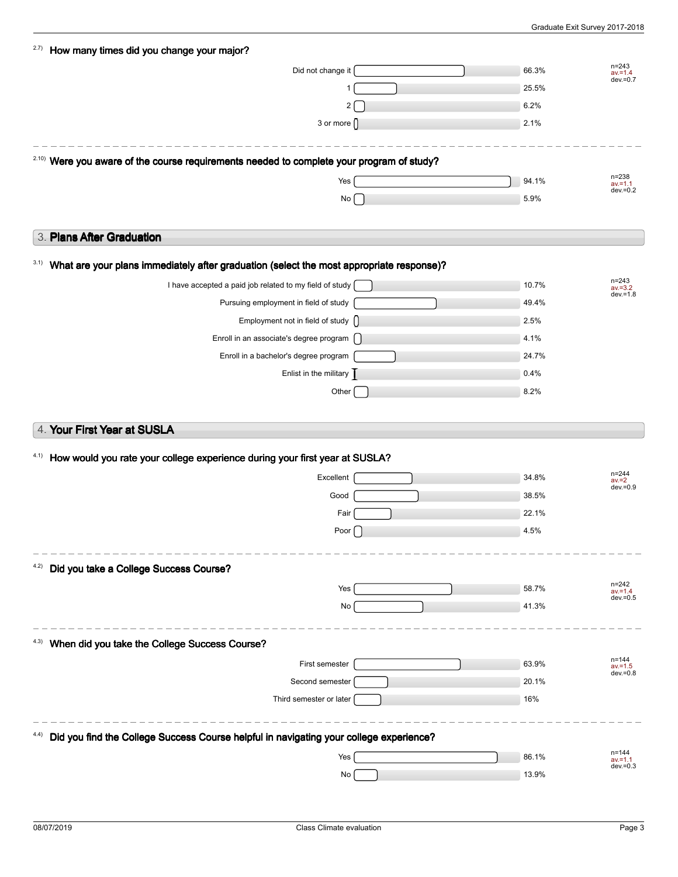| 2.7)<br>How many times did you change your major?                                                    |       |                                        |
|------------------------------------------------------------------------------------------------------|-------|----------------------------------------|
| Did not change it                                                                                    | 66.3% | $n = 243$<br>$av = 1.4$                |
|                                                                                                      | 25.5% | $dev = 0.7$                            |
| 2                                                                                                    | 6.2%  |                                        |
| 3 or more $\bigcap$                                                                                  | 2.1%  |                                        |
|                                                                                                      |       |                                        |
| <sup>2.10)</sup> Were you aware of the course requirements needed to complete your program of study? |       |                                        |
| Yes                                                                                                  | 94.1% | $n = 238$<br>$av = 1.1$<br>$dev = 0.2$ |
| No                                                                                                   | 5.9%  |                                        |
|                                                                                                      |       |                                        |
| 3. Plans After Graduation                                                                            |       |                                        |
| 3.1)<br>What are your plans immediately after graduation (select the most appropriate response)?     |       |                                        |
| I have accepted a paid job related to my field of study                                              | 10.7% | $n = 243$<br>$av = 3.2$                |
| Pursuing employment in field of study                                                                | 49.4% | $dev = 1.8$                            |
| Employment not in field of study []                                                                  | 2.5%  |                                        |
| Enroll in an associate's degree program [                                                            | 4.1%  |                                        |
| Enroll in a bachelor's degree program                                                                | 24.7% |                                        |
| Enlist in the military $\overline{\phantom{a}}$                                                      | 0.4%  |                                        |
| Other                                                                                                | 8.2%  |                                        |
|                                                                                                      |       |                                        |
| 4. Your First Year at SUSLA                                                                          |       |                                        |
|                                                                                                      |       |                                        |
| How would you rate your college experience during your first year at SUSLA?<br>4.1)                  |       |                                        |
| Excellent                                                                                            | 34.8% | $n = 244$<br>$av = 2$<br>$dev = 0.9$   |
| Good                                                                                                 | 38.5% |                                        |
| Fair                                                                                                 | 22.1% |                                        |
| Poor $\vert$                                                                                         | 4.5%  |                                        |
|                                                                                                      |       |                                        |
| Did you take a College Success Course?<br>4.2)                                                       |       |                                        |
| Yes                                                                                                  | 58.7% | n=242<br>$av = 1.4$<br>$dev = 0.5$     |
| No                                                                                                   | 41.3% |                                        |
|                                                                                                      |       |                                        |
| When did you take the College Success Course?<br>4.3)                                                |       |                                        |
| First semester                                                                                       | 63.9% | $n = 144$<br>$av = 1.5$<br>$dev = 0.8$ |
| Second semester                                                                                      | 20.1% |                                        |
| Third semester or later                                                                              | 16%   |                                        |
|                                                                                                      |       |                                        |
| Did you find the College Success Course helpful in navigating your college experience?               |       |                                        |
| Yes                                                                                                  | 86.1% | n=144<br>$av = 1.1$<br>$dev = 0.3$     |
|                                                                                                      |       |                                        |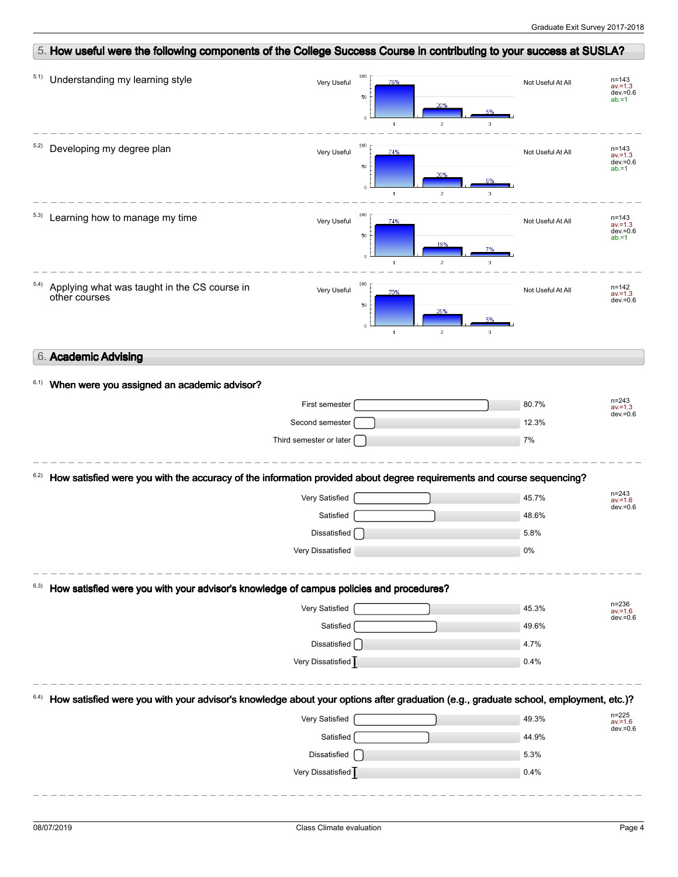|                                         |                                                                                                                                     | 5. How useful were the following components of the College Success Course in contributing to your success at SUSLA? |                                                |                                    |                                                    |
|-----------------------------------------|-------------------------------------------------------------------------------------------------------------------------------------|---------------------------------------------------------------------------------------------------------------------|------------------------------------------------|------------------------------------|----------------------------------------------------|
| 5.1)<br>Understanding my learning style |                                                                                                                                     | 100<br>Very Useful<br>50<br>$\ddot{\mathbf{0}}$                                                                     | 76%<br>20%<br>$\mathbf 1$<br>$\boldsymbol{2}$  | Not Useful At All<br>3             | $n = 143$<br>$av = 1.3$<br>$dev = 0.6$<br>$ab = 1$ |
| 5.2)<br>Developing my degree plan       |                                                                                                                                     | 100<br>Very Useful<br>50<br>$\circ$                                                                                 | 74%<br>20%<br>$\overline{1}$<br>$\overline{2}$ | Not Useful At All<br>$\mathcal{B}$ | $n = 143$<br>$av = 1.3$<br>$dev = 0.6$<br>$ab = 1$ |
| Learning how to manage my time<br>5.3)  |                                                                                                                                     | 100<br>Very Useful<br>50<br>$\ddot{\mathbf{0}}$                                                                     | 74%<br>19%<br>$\overline{c}$<br>$\mathbf 1$    | Not Useful At All                  | $n = 143$<br>$av = 1.3$<br>$dev = 0.6$<br>$ab = 1$ |
| 5.4)<br>other courses                   | Applying what was taught in the CS course in                                                                                        | 100<br>Very Useful<br>50<br>$\circ$                                                                                 | 70%<br>25%<br>$\mathbf 1$<br>$\overline{c}$    | Not Useful At All<br>3             | n=142<br>$av = 1.3$<br>$dev = 0.6$                 |
| 6. Academic Advising                    |                                                                                                                                     |                                                                                                                     |                                                |                                    |                                                    |
| 6.1)                                    | When were you assigned an academic advisor?                                                                                         |                                                                                                                     |                                                |                                    |                                                    |
|                                         |                                                                                                                                     | First semester                                                                                                      |                                                | 80.7%                              | $n = 243$<br>$av = 1.3$<br>$dev = 0.6$             |
|                                         |                                                                                                                                     | Second semester                                                                                                     |                                                | 12.3%                              |                                                    |
|                                         |                                                                                                                                     | Third semester or later                                                                                             |                                                | 7%                                 |                                                    |
|                                         |                                                                                                                                     |                                                                                                                     |                                                |                                    |                                                    |
|                                         | How satisfied were you with the accuracy of the information provided about degree requirements and course sequencing?               | Very Satisfied                                                                                                      |                                                | 45.7%                              | $n = 243$                                          |
|                                         |                                                                                                                                     | Satisfied                                                                                                           |                                                | 48.6%                              | $av = 1.6$                                         |
|                                         |                                                                                                                                     | Dissatisfied                                                                                                        |                                                | 5.8%                               |                                                    |
|                                         |                                                                                                                                     | Very Dissatisfied                                                                                                   |                                                | 0%                                 |                                                    |
|                                         | How satisfied were you with your advisor's knowledge of campus policies and procedures?                                             |                                                                                                                     |                                                |                                    |                                                    |
|                                         |                                                                                                                                     | Very Satisfied                                                                                                      |                                                | 45.3%                              | n=236<br>av.=1.6                                   |
|                                         |                                                                                                                                     | Satisfied                                                                                                           |                                                | 49.6%                              |                                                    |
|                                         |                                                                                                                                     | Dissatisfied                                                                                                        |                                                | 4.7%                               |                                                    |
|                                         |                                                                                                                                     | Very Dissatisfied                                                                                                   |                                                | 0.4%                               |                                                    |
|                                         | How satisfied were you with your advisor's knowledge about your options after graduation (e.g., graduate school, employment, etc.)? | Very Satisfied                                                                                                      |                                                | 49.3%                              | $n = 225$                                          |
|                                         |                                                                                                                                     | Satisfied                                                                                                           |                                                | 44.9%                              | $av = 1.6$                                         |
| 6.2)<br>6.3)                            |                                                                                                                                     | Dissatisfied                                                                                                        |                                                | 5.3%                               | $dev = 0.6$<br>$dev = 0.6$<br>$dev = 0.6$          |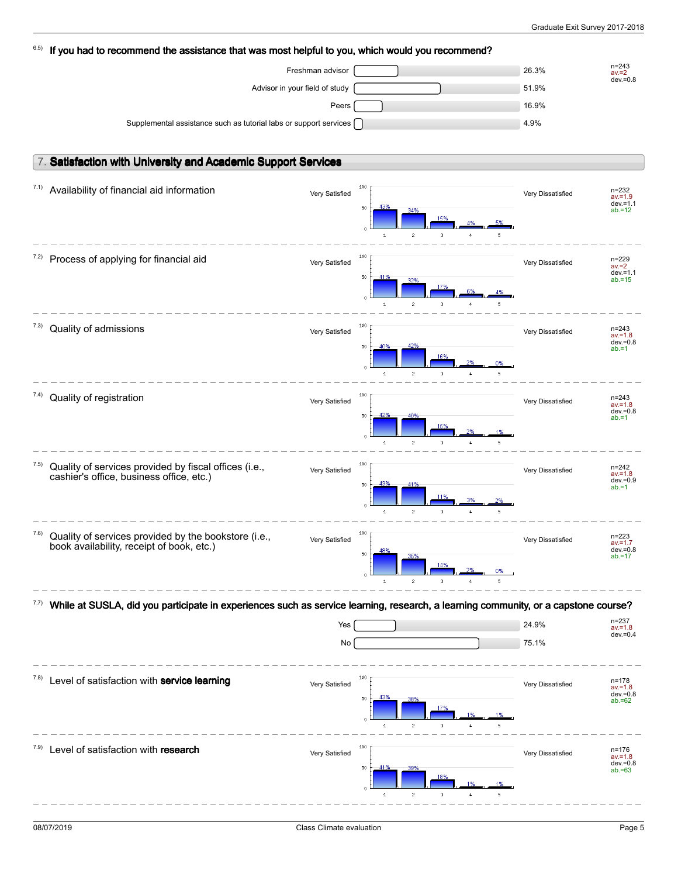| 6.5) | If you had to recommend the assistance that was most helpful to you, which would you recommend?                                    |     |                                                                |                   |                                        |
|------|------------------------------------------------------------------------------------------------------------------------------------|-----|----------------------------------------------------------------|-------------------|----------------------------------------|
|      | Freshman advisor                                                                                                                   |     |                                                                | 26.3%             | $n = 243$<br>$av = 2$                  |
|      | Advisor in your field of study                                                                                                     |     |                                                                | 51.9%             | $dev = 0.8$                            |
|      | Peers                                                                                                                              |     |                                                                | 16.9%             |                                        |
|      | Supplemental assistance such as tutorial labs or support services                                                                  |     |                                                                | 4.9%              |                                        |
|      |                                                                                                                                    |     |                                                                |                   |                                        |
|      | 7. Satisfaction with University and Academic Support Services                                                                      |     |                                                                |                   |                                        |
|      |                                                                                                                                    |     |                                                                |                   |                                        |
| 7.1) | Availability of financial aid information<br>Very Satisfied                                                                        |     | 100                                                            | Very Dissatisfied | $n = 232$<br>$av = 1.9$                |
|      |                                                                                                                                    |     | 43%<br>50<br>34%                                               |                   | $dev = 1.1$<br>$ab = 12$               |
|      |                                                                                                                                    |     | $\overline{c}$<br>3<br>$\mathbf{1}$<br>4<br>5                  |                   |                                        |
|      |                                                                                                                                    |     |                                                                |                   |                                        |
| (2)  | Process of applying for financial aid<br>Very Satisfied                                                                            |     | 100                                                            | Very Dissatisfied | $n = 229$<br>$av = 2$                  |
|      |                                                                                                                                    |     | 50<br>41%<br>32%<br>17%                                        |                   | $dev = 1.1$<br>$ab = 15$               |
|      |                                                                                                                                    |     | $\circ$<br>$\overline{2}$<br>3<br>$\overline{1}$               |                   |                                        |
|      |                                                                                                                                    |     |                                                                |                   |                                        |
| 7.3) | Quality of admissions<br>Very Satisfied                                                                                            |     | 100                                                            | Very Dissatisfied | $n = 243$<br>$av = 1.8$<br>$dev = 0.8$ |
|      |                                                                                                                                    |     | 42%<br>50<br>40%<br>16%                                        |                   | $ab = 1$                               |
|      |                                                                                                                                    |     | 0%<br>ó<br>$\mathbf{1}$<br>$\overline{c}$<br>3<br>5            |                   |                                        |
|      |                                                                                                                                    |     | 100                                                            |                   |                                        |
| 7.4) | Quality of registration<br>Very Satisfied                                                                                          |     |                                                                | Very Dissatisfied | $n = 243$<br>$av = 1.8$<br>$dev = 0.8$ |
|      |                                                                                                                                    |     | 50<br>40%<br>15%                                               |                   | $ab = 1$                               |
|      |                                                                                                                                    |     | $\mathbf 1$<br>$\overline{c}$<br>3<br>5                        |                   |                                        |
| 7.5) |                                                                                                                                    |     | 100                                                            |                   |                                        |
|      | Quality of services provided by fiscal offices (i.e.,<br>Very Satisfied<br>cashier's office, business office, etc.)                |     | 43%<br>41%                                                     | Very Dissatisfied | $n = 242$<br>$av = 1.8$<br>$dev = 0.9$ |
|      |                                                                                                                                    |     | 50<br>119                                                      |                   | $ab = 1$                               |
|      |                                                                                                                                    |     | $\circ$<br>$\overline{c}$<br>3<br>$1\,$<br>5<br>$\overline{4}$ |                   |                                        |
| 7.6) | Quality of services provided by the bookstore (i.e.,                                                                               |     | 100                                                            |                   | $n = 223$                              |
|      | Very Satisfied<br>book availability, receipt of book, etc.)                                                                        |     | 50                                                             | Very Dissatisfied | $av = 1.7$<br>$dev = 0.8$              |
|      |                                                                                                                                    |     | 14%<br>0%                                                      |                   | $ab = 17$                              |
|      |                                                                                                                                    |     | $\overline{c}$<br>3                                            |                   |                                        |
|      | While at SUSLA, did you participate in experiences such as service learning, research, a learning community, or a capstone course? |     |                                                                |                   |                                        |
|      |                                                                                                                                    | Yes |                                                                | 24.9%             | n=237<br>$av = 1.8$                    |
|      |                                                                                                                                    | No  |                                                                | 75.1%             | $dev = 0.4$                            |
|      |                                                                                                                                    |     |                                                                |                   |                                        |
| 7.8) | Level of satisfaction with service learning                                                                                        |     | 100                                                            |                   | n=178                                  |
|      | Very Satisfied                                                                                                                     |     | 43%<br>50                                                      | Very Dissatisfied | $av = 1.8$<br>$dev = 0.8$              |
|      |                                                                                                                                    |     | 17%                                                            |                   | $ab = 62$                              |
|      |                                                                                                                                    |     | $\overline{c}$<br>3<br>1                                       |                   |                                        |
| 7.9) | Level of satisfaction with research                                                                                                |     | 100                                                            |                   | n=176                                  |
|      | Very Satisfied                                                                                                                     |     | 50                                                             | Very Dissatisfied | $av = 1.8$<br>$dev = 0.8$<br>$ab = 63$ |
|      |                                                                                                                                    |     | 18%                                                            |                   |                                        |
|      |                                                                                                                                    |     | $\overline{c}$<br>3<br>$\mathbf{1}$                            |                   |                                        |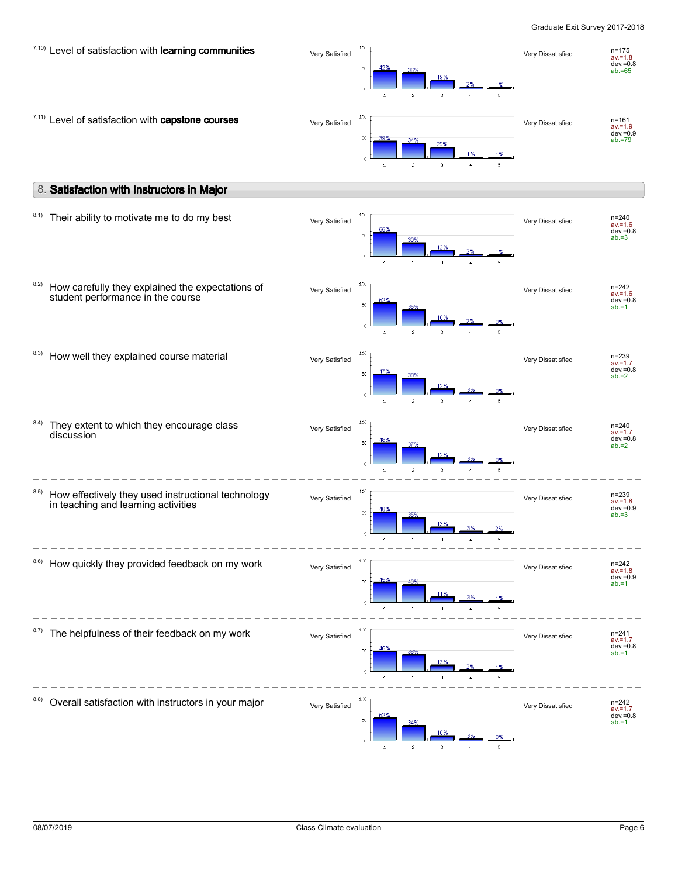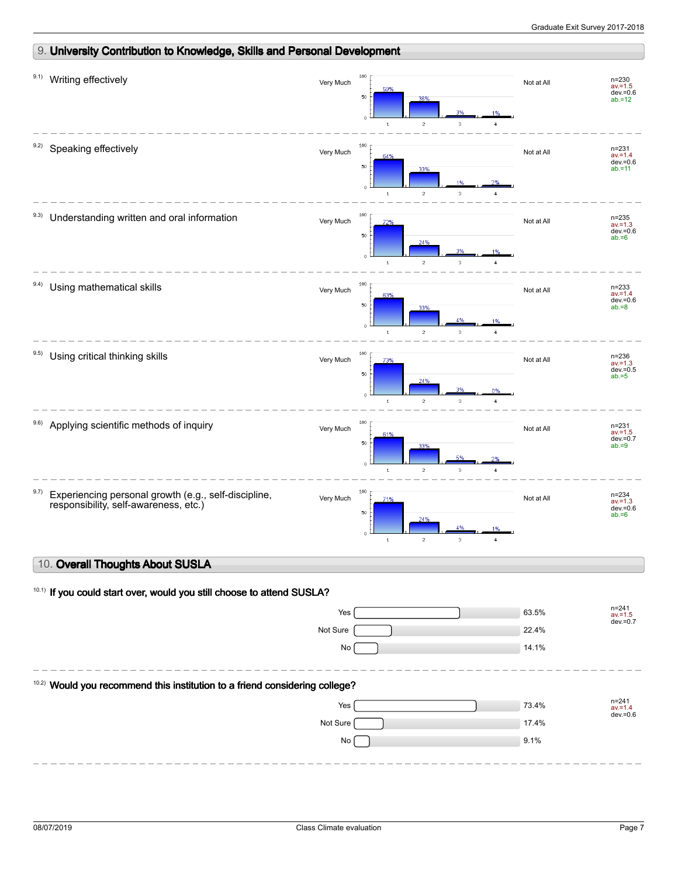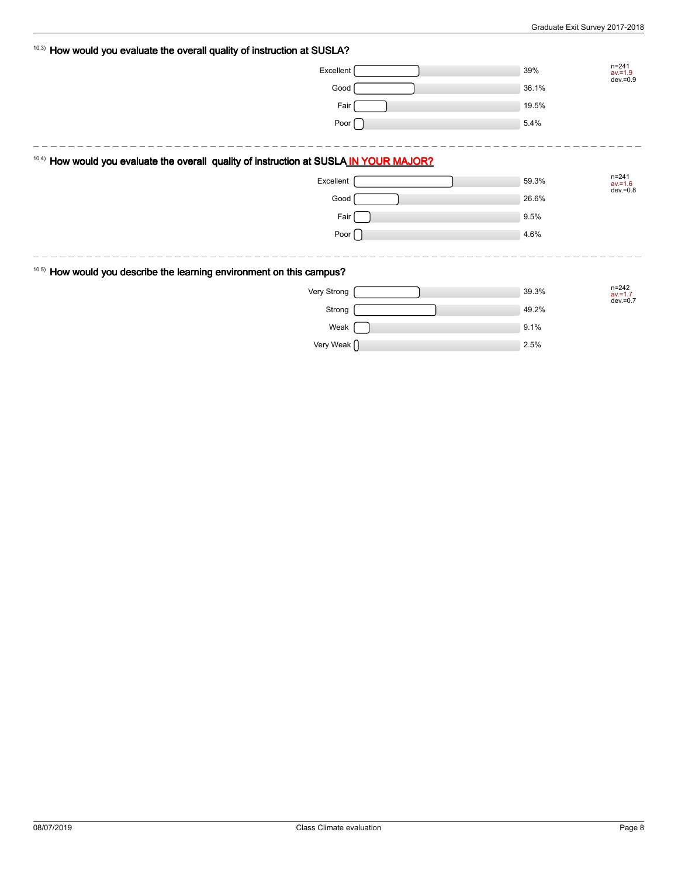| 10.3) How would you evaluate the overall quality of instruction at SUSLA?                  |       |                                       |
|--------------------------------------------------------------------------------------------|-------|---------------------------------------|
| Excellent                                                                                  | 39%   | $n = 241$<br>$av = 1.9$<br>dev. = 0.9 |
| Good                                                                                       | 36.1% |                                       |
| Fair                                                                                       | 19.5% |                                       |
| Poor [                                                                                     | 5.4%  |                                       |
|                                                                                            |       |                                       |
| How would you evaluate the overall quality of instruction at SUSLA IN YOUR MAJOR?<br>10.4) |       |                                       |
| Excellent                                                                                  | 59.3% | $n = 241$<br>$av = 1.6$<br>dev. = 0.8 |
| Good                                                                                       | 26.6% |                                       |
| Fair                                                                                       | 9.5%  |                                       |
| Poor $\lceil$                                                                              | 4.6%  |                                       |
|                                                                                            |       |                                       |
| 10.5) How would you describe the learning environment on this campus?                      |       |                                       |
| Very Strong                                                                                | 39.3% | $n = 242$<br>$av = 1.7$               |
| Strong                                                                                     | 49.2% | $dev = 0.7$                           |
| Weak                                                                                       | 9.1%  |                                       |
| Very Weak $\bigcap$                                                                        | 2.5%  |                                       |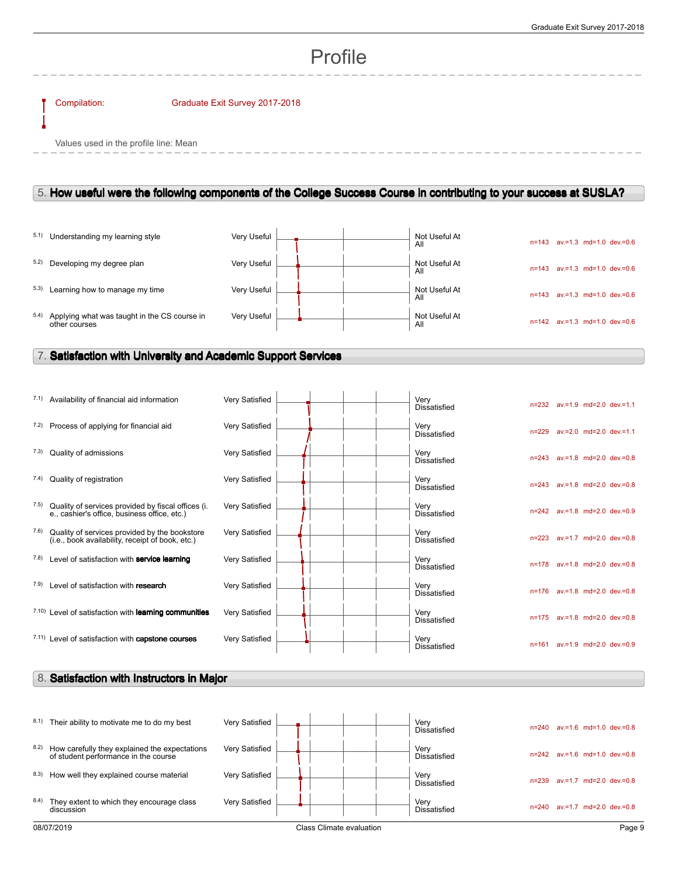# Profile

#### Compilation: Graduate Exit Survey 2017-2018

Values used in the profile line: Mean

## 5. **How useful were the following components of the College Success Course in contributing to your success at SUSLA?**

|      | 5.1) Understanding my learning style                          | Very Useful |  | Not Useful At<br>All | $n = 143$ | $av = 1.3$ md=1.0 dev.=0.6           |
|------|---------------------------------------------------------------|-------------|--|----------------------|-----------|--------------------------------------|
|      | 5.2) Developing my degree plan                                | Very Useful |  | Not Useful At<br>All | $n = 143$ | $av = 1.3$ md=1.0 dev $v = 0.6$      |
| 5.3) | Learning how to manage my time                                | Very Useful |  | Not Useful At<br>All | $n = 143$ | $av = 1.3$ md=1.0 dev=0.6            |
| 5.4) | Applying what was taught in the CS course in<br>other courses | Very Useful |  | Not Useful At<br>All |           | $n=142$ av. = 1.3 md= 1.0 dev. = 0.6 |

 $\overline{1}$ 

## 7. **Satisfaction with University and Academic Support Services**

|      | 7.1) Availability of financial aid information                                                     | Very Satisfied |  | Very<br><b>Dissatisfied</b> |           |  | n=232 av.=1.9 md=2.0 dev.=1.1 |
|------|----------------------------------------------------------------------------------------------------|----------------|--|-----------------------------|-----------|--|-------------------------------|
| 7.2) | Process of applying for financial aid                                                              | Very Satisfied |  | Very<br><b>Dissatisfied</b> | $n = 229$ |  | av.=2.0 md=2.0 dev.=1.1       |
| 7.3) | Quality of admissions                                                                              | Very Satisfied |  | Verv<br><b>Dissatisfied</b> | $n = 243$ |  | av.=1.8 md=2.0 dev.=0.8       |
| 7.4) | Quality of registration                                                                            | Very Satisfied |  | Very<br><b>Dissatisfied</b> | $n = 243$ |  | av.=1.8 md=2.0 dev.=0.8       |
| 7.5) | Quality of services provided by fiscal offices (i.<br>e., cashier's office, business office, etc.) | Very Satisfied |  | Verv<br>Dissatisfied        |           |  | n=242 av.=1.8 md=2.0 dev.=0.9 |
| 7.6) | Quality of services provided by the bookstore<br>(i.e., book availability, receipt of book, etc.)  | Very Satisfied |  | Verv<br><b>Dissatisfied</b> | $n = 223$ |  | av.=1.7 md=2.0 dev.=0.8       |
| 7.8) | Level of satisfaction with service learning                                                        | Very Satisfied |  | Verv<br><b>Dissatisfied</b> | $n = 178$ |  | av.=1.8 md=2.0 dev.=0.8       |
| 7.9) | Level of satisfaction with research                                                                | Very Satisfied |  | Verv<br><b>Dissatisfied</b> |           |  | n=176 av.=1.8 md=2.0 dev.=0.8 |
|      | <sup>7.10</sup> ) Level of satisfaction with <b>learning communities</b>                           | Very Satisfied |  | Verv<br><b>Dissatisfied</b> | $n = 175$ |  | av.=1.8 md=2.0 dev.=0.8       |
|      | 7.11) Level of satisfaction with capstone courses                                                  | Very Satisfied |  | Very<br><b>Dissatisfied</b> | n=161     |  | av.=1.9 md=2.0 dev.=0.9       |

## 8. **Satisfaction with Instructors in Major**

| 8.1)                                   | Their ability to motivate me to do my best                                            | Very Satisfied |  |  |  | Very<br>Dissatisfied        | $n = 240$ | $av = 1.6$ md=1.0 dev=0.8          |  |
|----------------------------------------|---------------------------------------------------------------------------------------|----------------|--|--|--|-----------------------------|-----------|------------------------------------|--|
| 8.2)                                   | How carefully they explained the expectations<br>of student performance in the course | Very Satisfied |  |  |  | Very<br><b>Dissatisfied</b> |           | $n=242$ av = 1.6 md= 1.0 dev = 0.8 |  |
| 8.3)                                   | How well they explained course material                                               | Very Satisfied |  |  |  | Very<br><b>Dissatisfied</b> | n=239     | $av = 1.7$ md=2.0 dev=0.8          |  |
| 8.4)                                   | They extent to which they encourage class<br>discussion                               | Very Satisfied |  |  |  | Very<br><b>Dissatisfied</b> | $n = 240$ | av.=1.7 md=2.0 dev.=0.8            |  |
| Class Climate evaluation<br>08/07/2019 |                                                                                       |                |  |  |  | Page 9                      |           |                                    |  |